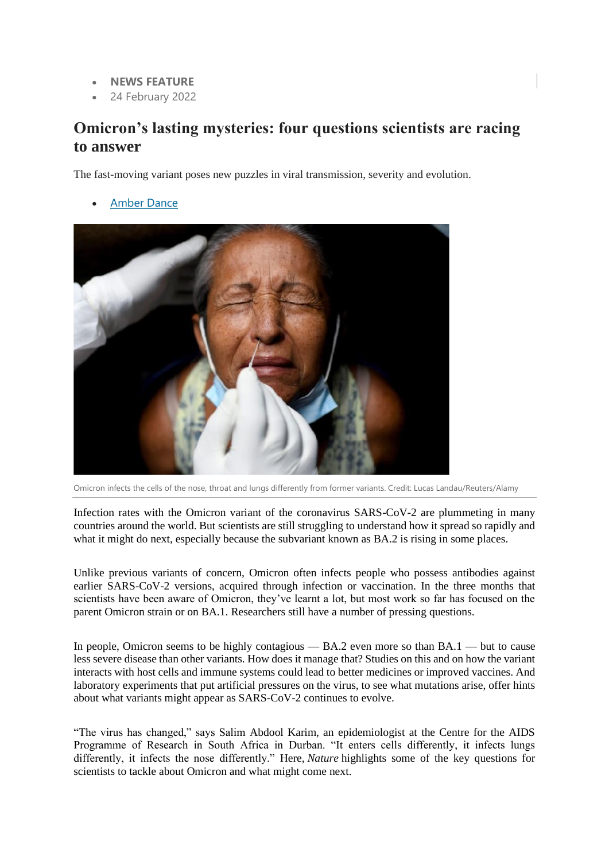- **NEWS FEATURE**
- 24 February 2022

# **Omicron's lasting mysteries: four questions scientists are racing to answer**

The fast-moving variant poses new puzzles in viral transmission, severity and evolution.

[Amber Dance](https://www.nature.com/articles/d41586-022-00428-5#author-0)



Omicron infects the cells of the nose, throat and lungs differently from former variants. Credit: Lucas Landau/Reuters/Alamy

Infection rates with the Omicron variant of the coronavirus SARS-CoV-2 are plummeting in many countries around the world. But scientists are still struggling to understand how it spread so rapidly and what it might do next, especially because the subvariant known as BA.2 is rising in some places.

Unlike previous variants of concern, Omicron often infects people who possess antibodies against earlier SARS-CoV-2 versions, acquired through infection or vaccination. In the three months that scientists have been aware of Omicron, they've learnt a lot, but most work so far has focused on the parent Omicron strain or on BA.1. Researchers still have a number of pressing questions.

In people, Omicron seems to be highly contagious — BA.2 even more so than BA.1 — but to cause less severe disease than other variants. How does it manage that? Studies on this and on how the variant interacts with host cells and immune systems could lead to better medicines or improved vaccines. And laboratory experiments that put artificial pressures on the virus, to see what mutations arise, offer hints about what variants might appear as SARS-CoV-2 continues to evolve.

"The virus has changed," says Salim Abdool Karim, an epidemiologist at the Centre for the AIDS Programme of Research in South Africa in Durban. "It enters cells differently, it infects lungs differently, it infects the nose differently." Here, *Nature* highlights some of the key questions for scientists to tackle about Omicron and what might come next.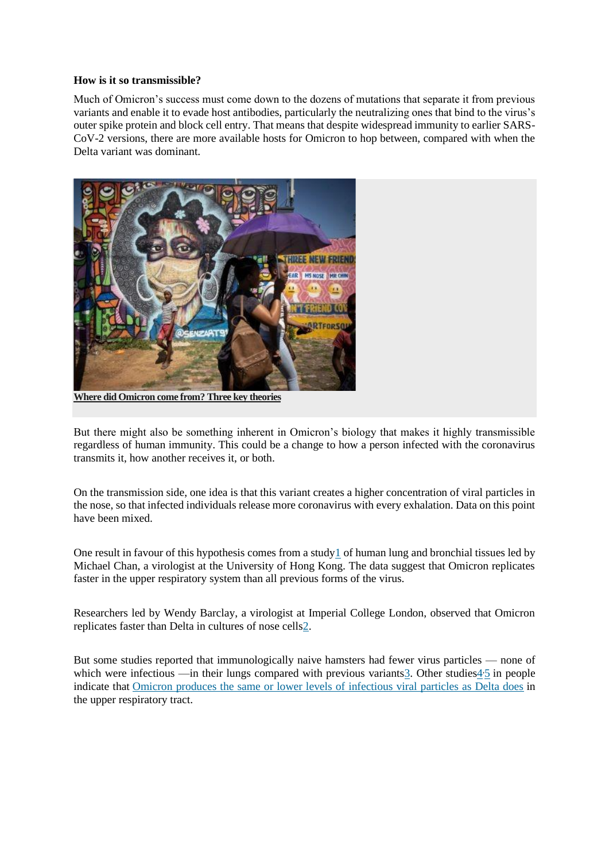### **How is it so transmissible?**

Much of Omicron's success must come down to the dozens of mutations that separate it from previous variants and enable it to evade host antibodies, particularly the neutralizing ones that bind to the virus's outer spike protein and block cell entry. That means that despite widespread immunity to earlier SARS-CoV-2 versions, there are more available hosts for Omicron to hop between, compared with when the Delta variant was dominant.



**[Where did Omicron come from? Three key theories](https://www.nature.com/articles/d41586-022-00215-2)**

But there might also be something inherent in Omicron's biology that makes it highly transmissible regardless of human immunity. This could be a change to how a person infected with the coronavirus transmits it, how another receives it, or both.

On the transmission side, one idea is that this variant creates a higher concentration of viral particles in the nose, so that infected individuals release more coronavirus with every exhalation. Data on this point have been mixed.

One result in favour of this hypothesis comes from a study  $1$  of human lung and bronchial tissues led by Michael Chan, a virologist at the University of Hong Kong. The data suggest that Omicron replicates faster in the upper respiratory system than all previous forms of the virus.

Researchers led by Wendy Barclay, a virologist at Imperial College London, observed that Omicron replicates faster than Delta in cultures of nose cell[s2.](https://www.nature.com/articles/d41586-022-00428-5#ref-CR2)

But some studies reported that immunologically naive hamsters had fewer virus particles — none of which were infectious —in their lungs compared with previous variants $\frac{3}{2}$ . Other studies $\frac{4}{2}$  in people indicate that [Omicron produces the same or lower levels of infectious viral particles as Delta does](https://www.nature.com/articles/d41586-022-00129-z) in the upper respiratory tract.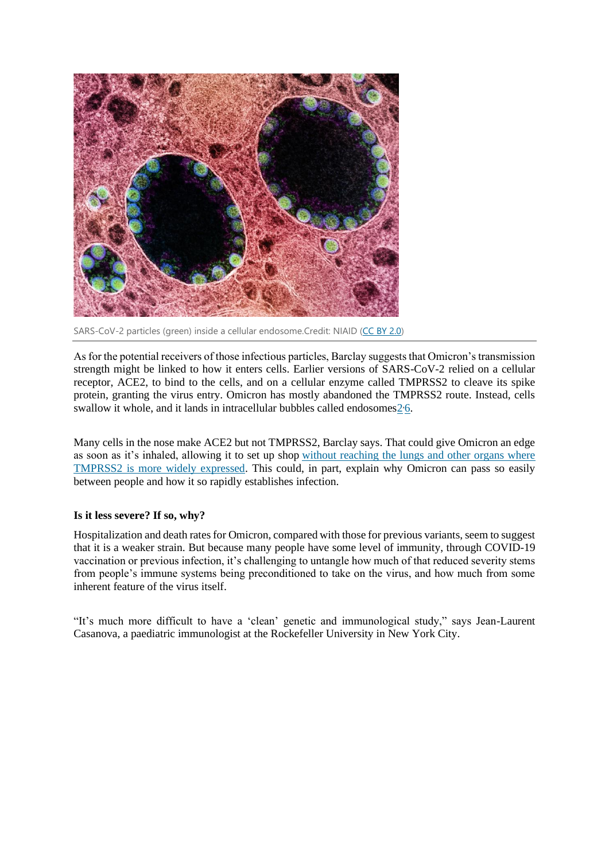

SARS-CoV-2 particles (green) inside a cellular endosome.Credit: NIAID [\(CC BY 2.0\)](https://creativecommons.org/licenses/by/2.0/)

As for the potential receivers of those infectious particles, Barclay suggests that Omicron's transmission strength might be linked to how it enters cells. Earlier versions of SARS-CoV-2 relied on a cellular receptor, ACE2, to bind to the cells, and on a cellular enzyme called TMPRSS2 to cleave its spike protein, granting the virus entry. Omicron has mostly abandoned the TMPRSS2 route. Instead, cells swallow it whole, and it lands in intracellular bubbles called endosomes $2.6$ .

Many cells in the nose make ACE2 but not TMPRSS2, Barclay says. That could give Omicron an edge as soon as it's inhaled, allowing it to set up shop [without reaching the lungs and other organs where](https://www.nature.com/articles/d41586-022-00007-8)  [TMPRSS2 is more widely expressed.](https://www.nature.com/articles/d41586-022-00007-8) This could, in part, explain why Omicron can pass so easily between people and how it so rapidly establishes infection.

## **Is it less severe? If so, why?**

Hospitalization and death rates for Omicron, compared with those for previous variants, seem to suggest that it is a weaker strain. But because many people have some level of immunity, through COVID-19 vaccination or previous infection, it's challenging to untangle how much of that reduced severity stems from people's immune systems being preconditioned to take on the virus, and how much from some inherent feature of the virus itself.

"It's much more difficult to have a 'clean' genetic and immunological study," says Jean-Laurent Casanova, a paediatric immunologist at the Rockefeller University in New York City.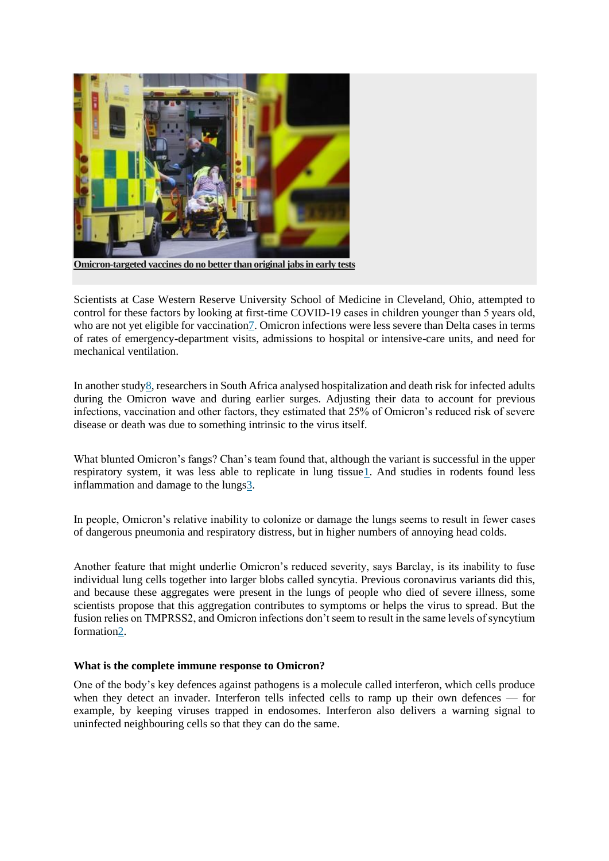

Scientists at Case Western Reserve University School of Medicine in Cleveland, Ohio, attempted to control for these factors by looking at first-time COVID-19 cases in children younger than 5 years old, who are not yet eligible for vaccinatio[n7.](https://www.nature.com/articles/d41586-022-00428-5#ref-CR7) Omicron infections were less severe than Delta cases in terms of rates of emergency-department visits, admissions to hospital or intensive-care units, and need for mechanical ventilation.

In another stud[y8,](https://www.nature.com/articles/d41586-022-00428-5#ref-CR8) researchers in South Africa analysed hospitalization and death risk for infected adults during the Omicron wave and during earlier surges. Adjusting their data to account for previous infections, vaccination and other factors, they estimated that 25% of Omicron's reduced risk of severe disease or death was due to something intrinsic to the virus itself.

What blunted Omicron's fangs? Chan's team found that, although the variant is successful in the upper respiratory system, it was less able to replicate in lung tissu[e1.](https://www.nature.com/articles/d41586-022-00428-5#ref-CR1) And studies in rodents found less inflammation and damage to the lung[s3.](https://www.nature.com/articles/d41586-022-00428-5#ref-CR3)

In people, Omicron's relative inability to colonize or damage the lungs seems to result in fewer cases of dangerous pneumonia and respiratory distress, but in higher numbers of annoying head colds.

Another feature that might underlie Omicron's reduced severity, says Barclay, is its inability to fuse individual lung cells together into larger blobs called syncytia. Previous coronavirus variants did this, and because these aggregates were present in the lungs of people who died of severe illness, some scientists propose that this aggregation contributes to symptoms or helps the virus to spread. But the fusion relies on TMPRSS2, and Omicron infections don't seem to result in the same levels of syncytium formatio[n2.](https://www.nature.com/articles/d41586-022-00428-5#ref-CR2)

### **What is the complete immune response to Omicron?**

One of the body's key defences against pathogens is a molecule called interferon, which cells produce when they detect an invader. Interferon tells infected cells to ramp up their own defences — for example, by keeping viruses trapped in endosomes. Interferon also delivers a warning signal to uninfected neighbouring cells so that they can do the same.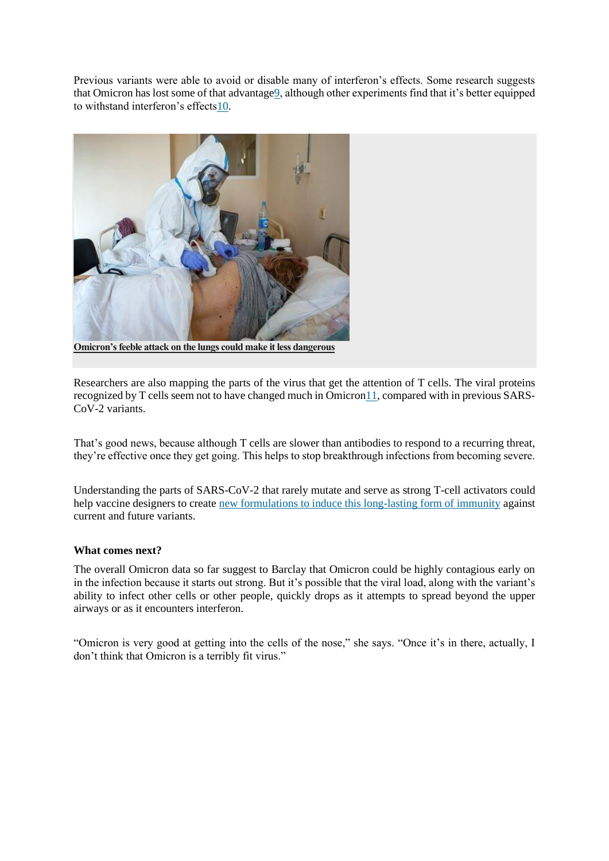Previous variants were able to avoid or disable many of interferon's effects. Some research suggests that Omicron has lost some of that advantag[e9,](https://www.nature.com/articles/d41586-022-00428-5#ref-CR9) although other experiments find that it's better equipped to withstand interferon's effect[s10.](https://www.nature.com/articles/d41586-022-00428-5#ref-CR10)



**[Omicron's feeble attack on the lungs could make it less dangerous](https://www.nature.com/articles/d41586-022-00007-8)**

Researchers are also mapping the parts of the virus that get the attention of T cells. The viral proteins recognized by T cells seem not to have changed much in Omicro[n11,](https://www.nature.com/articles/d41586-022-00428-5#ref-CR11) compared with in previous SARS-CoV-2 variants.

That's good news, because although T cells are slower than antibodies to respond to a recurring threat, they're effective once they get going. This helps to stop breakthrough infections from becoming severe.

Understanding the parts of SARS-CoV-2 that rarely mutate and serve as strong T-cell activators could help vaccine designers to create [new formulations to induce this long-lasting form of immunity](https://www.nature.com/articles/d41586-022-00214-3) against current and future variants.

## **What comes next?**

The overall Omicron data so far suggest to Barclay that Omicron could be highly contagious early on in the infection because it starts out strong. But it's possible that the viral load, along with the variant's ability to infect other cells or other people, quickly drops as it attempts to spread beyond the upper airways or as it encounters interferon.

"Omicron is very good at getting into the cells of the nose," she says. "Once it's in there, actually, I don't think that Omicron is a terribly fit virus."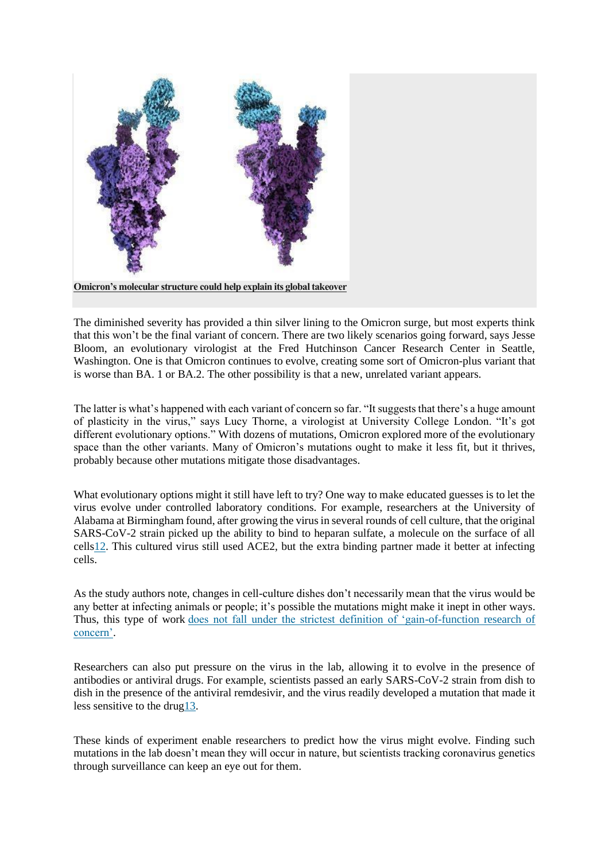

The diminished severity has provided a thin silver lining to the Omicron surge, but most experts think that this won't be the final variant of concern. There are two likely scenarios going forward, says Jesse Bloom, an evolutionary virologist at the Fred Hutchinson Cancer Research Center in Seattle, Washington. One is that Omicron continues to evolve, creating some sort of Omicron-plus variant that is worse than BA. 1 or BA.2. The other possibility is that a new, unrelated variant appears.

The latter is what's happened with each variant of concern so far. "It suggests that there's a huge amount of plasticity in the virus," says Lucy Thorne, a virologist at University College London. "It's got different evolutionary options." With dozens of mutations, Omicron explored more of the evolutionary space than the other variants. Many of Omicron's mutations ought to make it less fit, but it thrives, probably because other mutations mitigate those disadvantages.

What evolutionary options might it still have left to try? One way to make educated guesses is to let the virus evolve under controlled laboratory conditions. For example, researchers at the University of Alabama at Birmingham found, after growing the virus in several rounds of cell culture, that the original SARS-CoV-2 strain picked up the ability to bind to heparan sulfate, a molecule on the surface of all cell[s12.](https://www.nature.com/articles/d41586-022-00428-5#ref-CR12) This cultured virus still used ACE2, but the extra binding partner made it better at infecting cells.

As the study authors note, changes in cell-culture dishes don't necessarily mean that the virus would be any better at infecting animals or people; it's possible the mutations might make it inept in other ways. Thus, this type of work [does not fall under the strictest definition of 'gain-of-function research of](https://www.nature.com/articles/d41586-021-02903-x)  [concern'.](https://www.nature.com/articles/d41586-021-02903-x)

Researchers can also put pressure on the virus in the lab, allowing it to evolve in the presence of antibodies or antiviral drugs. For example, scientists passed an early SARS-CoV-2 strain from dish to dish in the presence of the antiviral remdesivir, and the virus readily developed a mutation that made it less sensitive to the dru[g13.](https://www.nature.com/articles/d41586-022-00428-5#ref-CR13)

These kinds of experiment enable researchers to predict how the virus might evolve. Finding such mutations in the lab doesn't mean they will occur in nature, but scientists tracking coronavirus genetics through surveillance can keep an eye out for them.